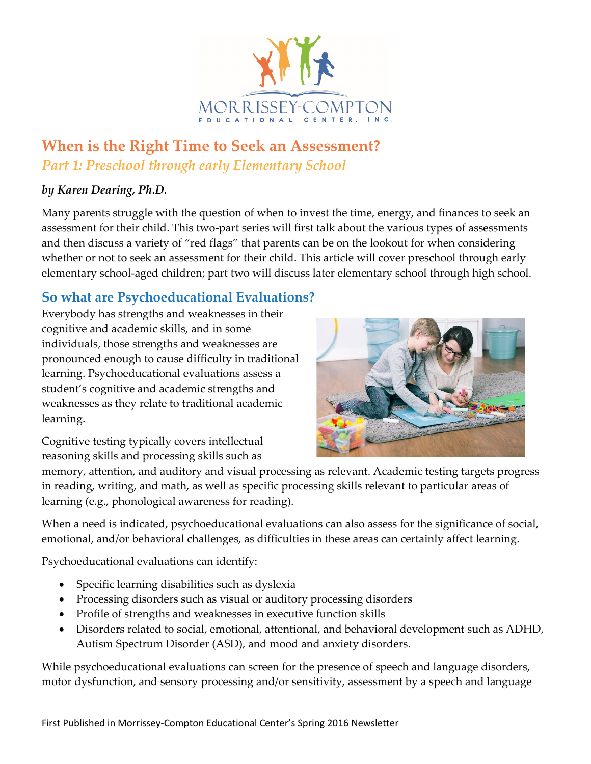

# **When is the Right Time to Seek an Assessment?**  *Part 1: Preschool through early Elementary School*

#### *by Karen Dearing, Ph.D.*

Many parents struggle with the question of when to invest the time, energy, and finances to seek an assessment for their child. This two-part series will first talk about the various types of assessments and then discuss a variety of "red flags" that parents can be on the lookout for when considering whether or not to seek an assessment for their child. This article will cover preschool through early elementary school-aged children; part two will discuss later elementary school through high school.

## **So what are Psychoeducational Evaluations?**

Everybody has strengths and weaknesses in their cognitive and academic skills, and in some individuals, those strengths and weaknesses are pronounced enough to cause difficulty in traditional learning. Psychoeducational evaluations assess a student's cognitive and academic strengths and weaknesses as they relate to traditional academic learning.



Cognitive testing typically covers intellectual reasoning skills and processing skills such as

memory, attention, and auditory and visual processing as relevant. Academic testing targets progress in reading, writing, and math, as well as specific processing skills relevant to particular areas of learning (e.g., phonological awareness for reading).

When a need is indicated, psychoeducational evaluations can also assess for the significance of social, emotional, and/or behavioral challenges, as difficulties in these areas can certainly affect learning.

Psychoeducational evaluations can identify:

- Specific learning disabilities such as dyslexia
- Processing disorders such as visual or auditory processing disorders
- Profile of strengths and weaknesses in executive function skills
- Disorders related to social, emotional, attentional, and behavioral development such as ADHD, Autism Spectrum Disorder (ASD), and mood and anxiety disorders.

While psychoeducational evaluations can screen for the presence of speech and language disorders, motor dysfunction, and sensory processing and/or sensitivity, assessment by a speech and language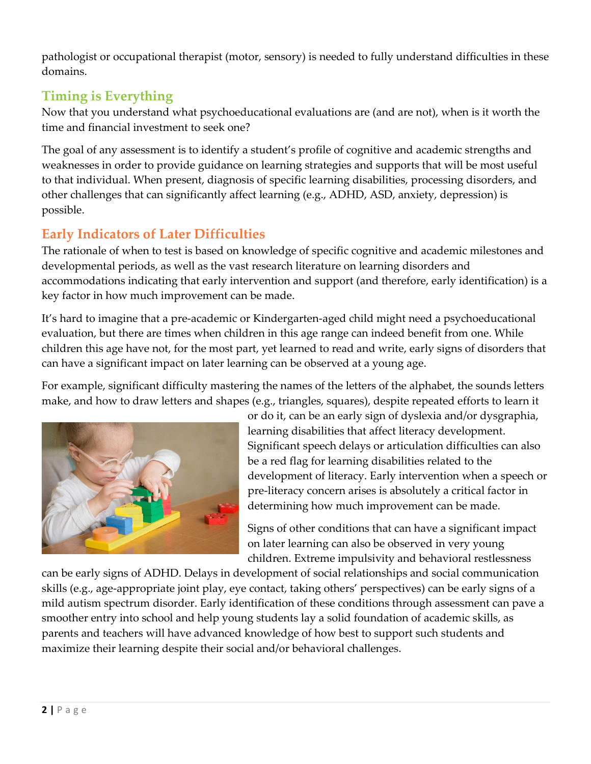pathologist or occupational therapist (motor, sensory) is needed to fully understand difficulties in these domains.

# **Timing is Everything**

Now that you understand what psychoeducational evaluations are (and are not), when is it worth the time and financial investment to seek one?

The goal of any assessment is to identify a student's profile of cognitive and academic strengths and weaknesses in order to provide guidance on learning strategies and supports that will be most useful to that individual. When present, diagnosis of specific learning disabilities, processing disorders, and other challenges that can significantly affect learning (e.g., ADHD, ASD, anxiety, depression) is possible.

# **Early Indicators of Later Difficulties**

The rationale of when to test is based on knowledge of specific cognitive and academic milestones and developmental periods, as well as the vast research literature on learning disorders and accommodations indicating that early intervention and support (and therefore, early identification) is a key factor in how much improvement can be made.

It's hard to imagine that a pre-academic or Kindergarten-aged child might need a psychoeducational evaluation, but there are times when children in this age range can indeed benefit from one. While children this age have not, for the most part, yet learned to read and write, early signs of disorders that can have a significant impact on later learning can be observed at a young age.

For example, significant difficulty mastering the names of the letters of the alphabet, the sounds letters make, and how to draw letters and shapes (e.g., triangles, squares), despite repeated efforts to learn it



or do it, can be an early sign of dyslexia and/or dysgraphia, learning disabilities that affect literacy development. Significant speech delays or articulation difficulties can also be a red flag for learning disabilities related to the development of literacy. Early intervention when a speech or pre-literacy concern arises is absolutely a critical factor in determining how much improvement can be made.

Signs of other conditions that can have a significant impact on later learning can also be observed in very young children. Extreme impulsivity and behavioral restlessness

can be early signs of ADHD. Delays in development of social relationships and social communication skills (e.g., age-appropriate joint play, eye contact, taking others' perspectives) can be early signs of a mild autism spectrum disorder. Early identification of these conditions through assessment can pave a smoother entry into school and help young students lay a solid foundation of academic skills, as parents and teachers will have advanced knowledge of how best to support such students and maximize their learning despite their social and/or behavioral challenges.